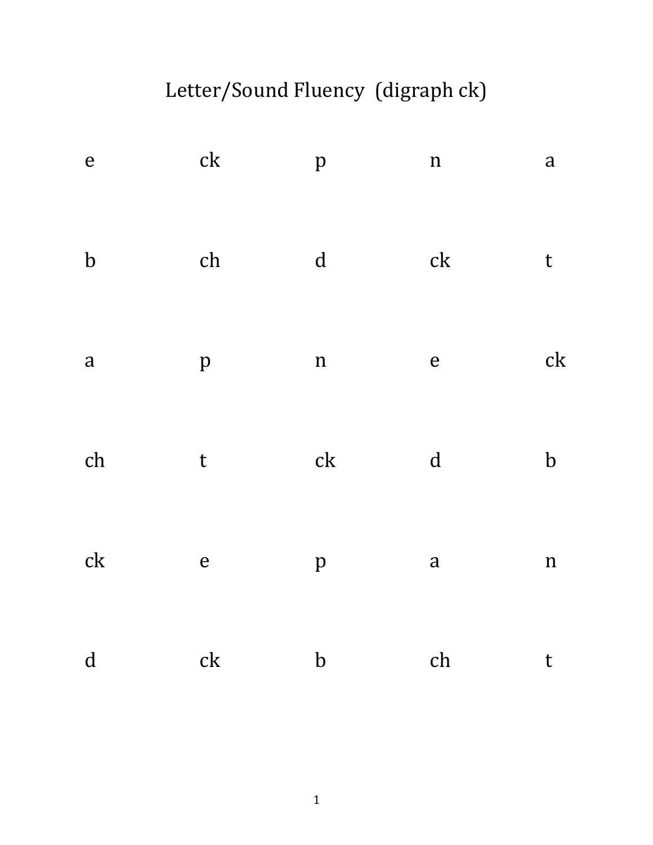# Letter/Sound Fluency (digraph ck)

| $\mathbf{e}% _{0}\in\mathbf{e}_{\mathbb{E}}$ | $\ensuremath{\text{c}}\xspace\ensuremath{\text{k}}\xspace$ | $\, {\bf p}$        | $\mathbf n$                                                | $\mathbf{a}$   |
|----------------------------------------------|------------------------------------------------------------|---------------------|------------------------------------------------------------|----------------|
| $\bf b$                                      | ch                                                         | $\mathbf d$         | $\ensuremath{\text{c}}\xspace\ensuremath{\text{k}}\xspace$ | $\mathsf{t}$   |
| $\mathbf{a}$                                 | $\, {\bf p}$                                               | $\mathbf n$         | $\mathbf{e}$                                               | c <sub>k</sub> |
| ${\rm ch}$                                   | $\mathsf t$                                                | $\operatorname{ck}$ | $\mathbf d$                                                | $\mathbf b$    |
| ck                                           | $\mathbf{e}$                                               | $\, {\bf p}$        | $\mathbf{a}$                                               | $\mathbf n$    |
| $\mathbf d$                                  | $\operatorname{ck}$                                        | $\mathbf b$         | ch                                                         | $\mathsf{t}$   |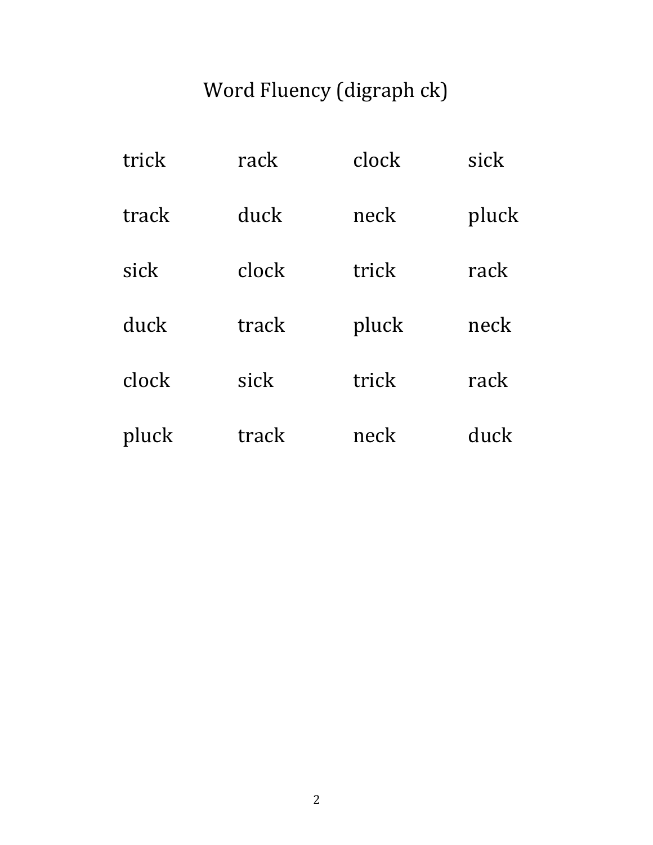# Word Fluency (digraph ck)

| trick | rack  | clock | sick  |
|-------|-------|-------|-------|
| track | duck  | neck  | pluck |
| sick  | clock | trick | rack  |
| duck  | track | pluck | neck  |
| clock | sick  | trick | rack  |
| pluck | track | neck  | duck  |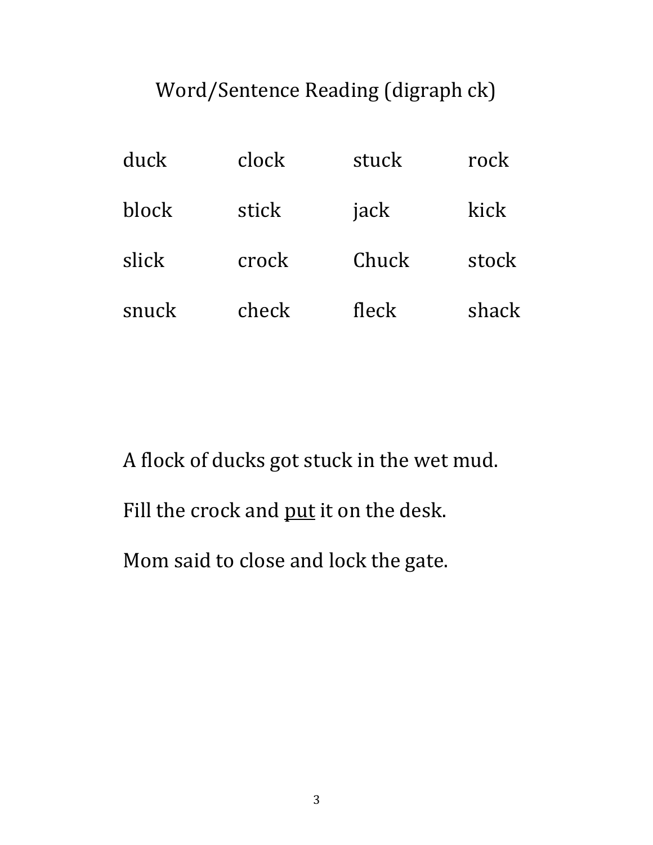### Word/Sentence Reading (digraph ck)

| duck  | clock | stuck | rock  |
|-------|-------|-------|-------|
| block | stick | jack  | kick  |
| slick | crock | Chuck | stock |
| snuck | check | fleck | shack |

A flock of ducks got stuck in the wet mud.

Fill the crock and put it on the desk.

Mom said to close and lock the gate.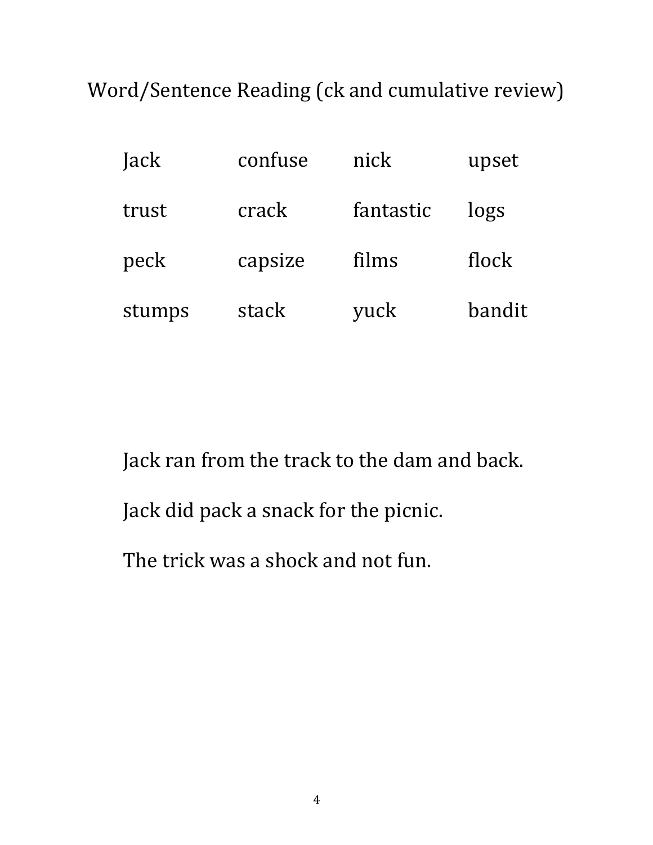Word/Sentence Reading (ck and cumulative review)

| Jack   | confuse | nick      | upset  |
|--------|---------|-----------|--------|
| trust  | crack   | fantastic | logs   |
| peck   | capsize | films     | flock  |
| stumps | stack   | yuck      | bandit |

Jack ran from the track to the dam and back.

Jack did pack a snack for the picnic.

The trick was a shock and not fun.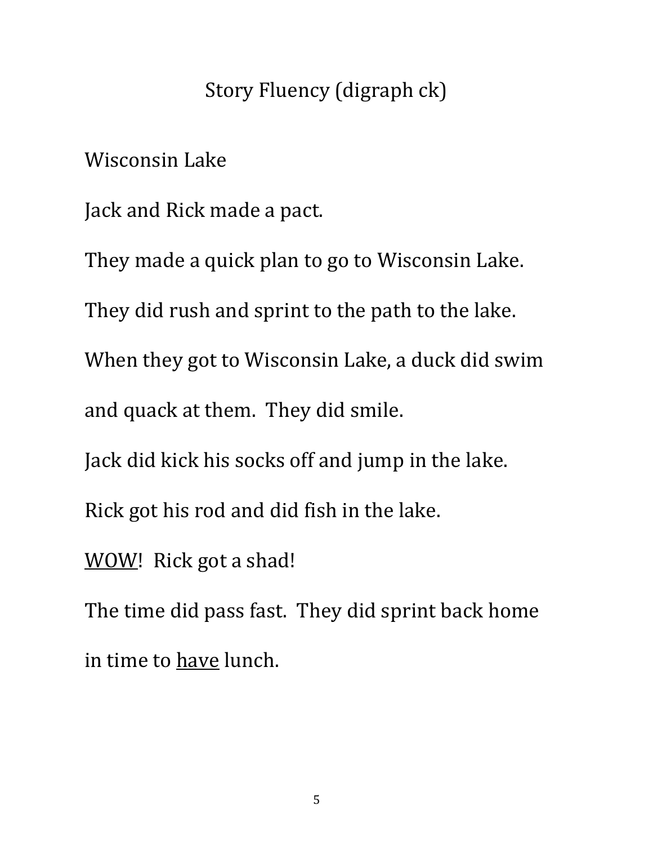#### Story Fluency (digraph ck)

Wisconsin Lake

Jack and Rick made a pact.

They made a quick plan to go to Wisconsin Lake.

They did rush and sprint to the path to the lake.

When they got to Wisconsin Lake, a duck did swim

and quack at them. They did smile.

Jack did kick his socks off and jump in the lake.

Rick got his rod and did fish in the lake.

WOW! Rick got a shad!

The time did pass fast. They did sprint back home in time to have lunch.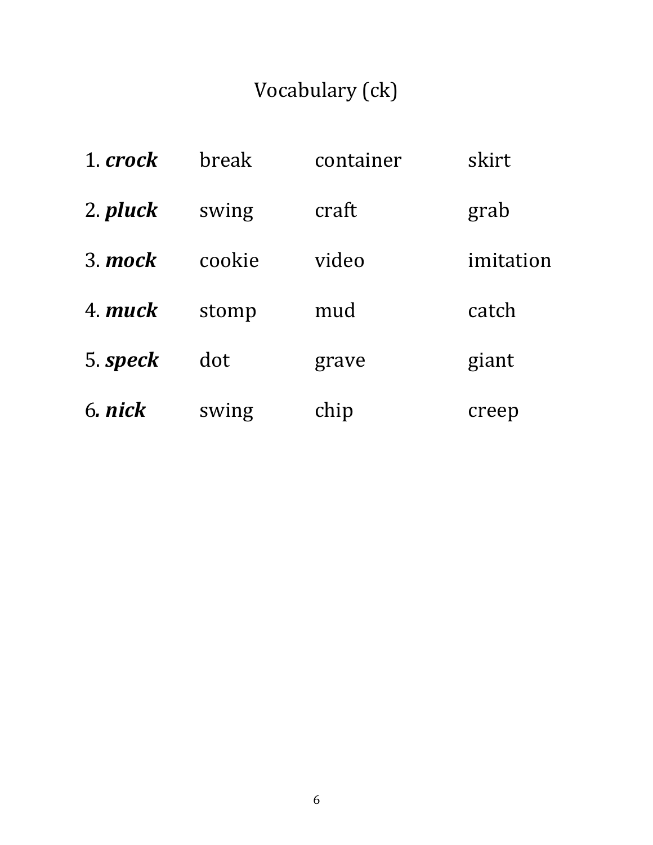## Vocabulary (ck)

| 1. crock | break  | container | skirt     |
|----------|--------|-----------|-----------|
| 2. pluck | swing  | craft     | grab      |
| 3 mock   | cookie | video     | imitation |
| 4 muck   | stomp  | mud       | catch     |
| 5. speck | dot    | grave     | giant     |
| 6. nick  | swing  | chip      | creep     |